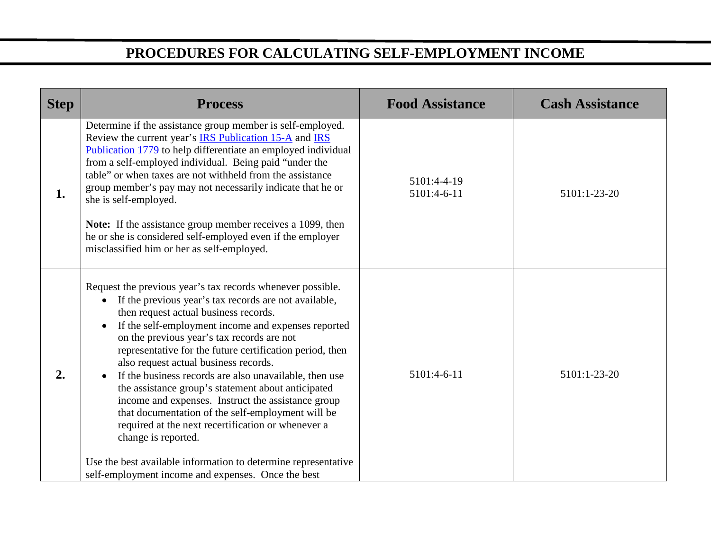## **PROCEDURES FOR CALCULATING SELF-EMPLOYMENT INCOME**

| <b>Step</b> | <b>Process</b>                                                                                                                                                                                                                                                                                                                                                                                                                                                                                                                                                                                                                                                                                                                                                                                                                                | <b>Food Assistance</b>     | <b>Cash Assistance</b> |
|-------------|-----------------------------------------------------------------------------------------------------------------------------------------------------------------------------------------------------------------------------------------------------------------------------------------------------------------------------------------------------------------------------------------------------------------------------------------------------------------------------------------------------------------------------------------------------------------------------------------------------------------------------------------------------------------------------------------------------------------------------------------------------------------------------------------------------------------------------------------------|----------------------------|------------------------|
| 1.          | Determine if the assistance group member is self-employed.<br>Review the current year's <b>IRS Publication 15-A</b> and <b>IRS</b><br>Publication 1779 to help differentiate an employed individual<br>from a self-employed individual. Being paid "under the<br>table" or when taxes are not withheld from the assistance<br>group member's pay may not necessarily indicate that he or<br>she is self-employed.<br>Note: If the assistance group member receives a 1099, then<br>he or she is considered self-employed even if the employer<br>misclassified him or her as self-employed.                                                                                                                                                                                                                                                   | 5101:4-4-19<br>5101:4-6-11 | 5101:1-23-20           |
| 2.          | Request the previous year's tax records whenever possible.<br>If the previous year's tax records are not available,<br>$\bullet$<br>then request actual business records.<br>If the self-employment income and expenses reported<br>$\bullet$<br>on the previous year's tax records are not<br>representative for the future certification period, then<br>also request actual business records.<br>If the business records are also unavailable, then use<br>$\bullet$<br>the assistance group's statement about anticipated<br>income and expenses. Instruct the assistance group<br>that documentation of the self-employment will be<br>required at the next recertification or whenever a<br>change is reported.<br>Use the best available information to determine representative<br>self-employment income and expenses. Once the best | 5101:4-6-11                | 5101:1-23-20           |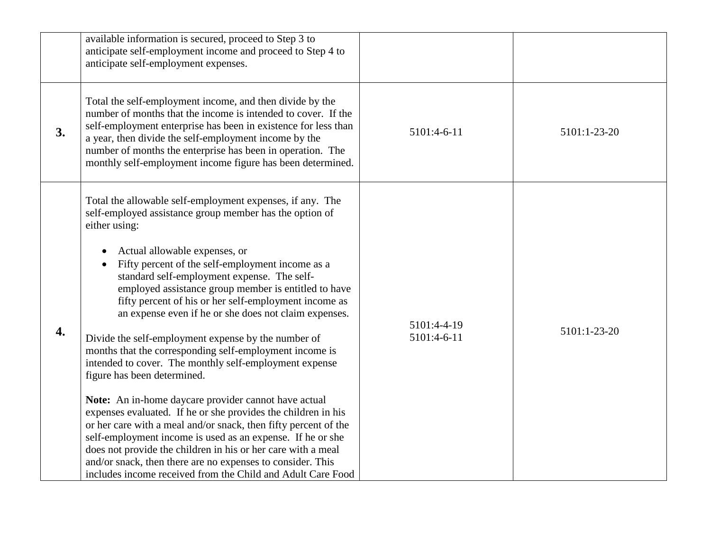|    | available information is secured, proceed to Step 3 to<br>anticipate self-employment income and proceed to Step 4 to<br>anticipate self-employment expenses.                                                                                                                                                                                                                                                                                                                                                                                                                                                                                                                                                                                                                                                                                                                                                                                                                                                                                                                                                          |                            |              |
|----|-----------------------------------------------------------------------------------------------------------------------------------------------------------------------------------------------------------------------------------------------------------------------------------------------------------------------------------------------------------------------------------------------------------------------------------------------------------------------------------------------------------------------------------------------------------------------------------------------------------------------------------------------------------------------------------------------------------------------------------------------------------------------------------------------------------------------------------------------------------------------------------------------------------------------------------------------------------------------------------------------------------------------------------------------------------------------------------------------------------------------|----------------------------|--------------|
| 3. | Total the self-employment income, and then divide by the<br>number of months that the income is intended to cover. If the<br>self-employment enterprise has been in existence for less than<br>a year, then divide the self-employment income by the<br>number of months the enterprise has been in operation. The<br>monthly self-employment income figure has been determined.                                                                                                                                                                                                                                                                                                                                                                                                                                                                                                                                                                                                                                                                                                                                      | 5101:4-6-11                | 5101:1-23-20 |
| 4. | Total the allowable self-employment expenses, if any. The<br>self-employed assistance group member has the option of<br>either using:<br>Actual allowable expenses, or<br>Fifty percent of the self-employment income as a<br>standard self-employment expense. The self-<br>employed assistance group member is entitled to have<br>fifty percent of his or her self-employment income as<br>an expense even if he or she does not claim expenses.<br>Divide the self-employment expense by the number of<br>months that the corresponding self-employment income is<br>intended to cover. The monthly self-employment expense<br>figure has been determined.<br>Note: An in-home daycare provider cannot have actual<br>expenses evaluated. If he or she provides the children in his<br>or her care with a meal and/or snack, then fifty percent of the<br>self-employment income is used as an expense. If he or she<br>does not provide the children in his or her care with a meal<br>and/or snack, then there are no expenses to consider. This<br>includes income received from the Child and Adult Care Food | 5101:4-4-19<br>5101:4-6-11 | 5101:1-23-20 |